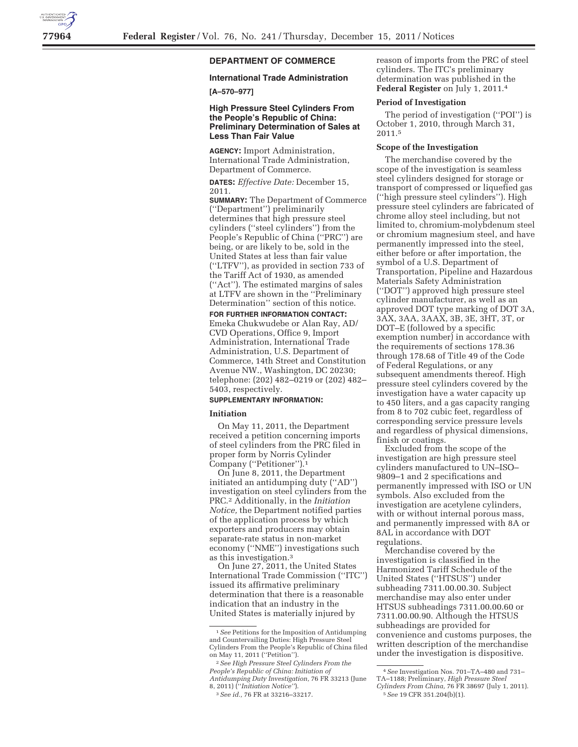# **DEPARTMENT OF COMMERCE**

# **International Trade Administration**

## **[A–570–977]**

## **High Pressure Steel Cylinders From the People's Republic of China: Preliminary Determination of Sales at Less Than Fair Value**

**AGENCY:** Import Administration, International Trade Administration, Department of Commerce.

**DATES:** *Effective Date:* December 15, 2011.

**SUMMARY:** The Department of Commerce (''Department'') preliminarily determines that high pressure steel cylinders (''steel cylinders'') from the People's Republic of China (''PRC'') are being, or are likely to be, sold in the United States at less than fair value (''LTFV''), as provided in section 733 of the Tariff Act of 1930, as amended (''Act''). The estimated margins of sales at LTFV are shown in the ''Preliminary Determination'' section of this notice.

## **FOR FURTHER INFORMATION CONTACT:**  Emeka Chukwudebe or Alan Ray, AD/ CVD Operations, Office 9, Import Administration, International Trade Administration, U.S. Department of Commerce, 14th Street and Constitution Avenue NW., Washington, DC 20230; telephone: (202) 482–0219 or (202) 482– 5403, respectively.

#### **SUPPLEMENTARY INFORMATION:**

#### **Initiation**

On May 11, 2011, the Department received a petition concerning imports of steel cylinders from the PRC filed in proper form by Norris Cylinder Company (''Petitioner'').1

On June 8, 2011, the Department initiated an antidumping duty (''AD'') investigation on steel cylinders from the PRC.2 Additionally, in the *Initiation Notice,* the Department notified parties of the application process by which exporters and producers may obtain separate-rate status in non-market economy (''NME'') investigations such as this investigation.3

On June 27, 2011, the United States International Trade Commission (''ITC'') issued its affirmative preliminary determination that there is a reasonable indication that an industry in the United States is materially injured by

reason of imports from the PRC of steel cylinders. The ITC's preliminary determination was published in the **Federal Register** on July 1, 2011.4

#### **Period of Investigation**

The period of investigation (''POI'') is October 1, 2010, through March 31, 2011.5

## **Scope of the Investigation**

The merchandise covered by the scope of the investigation is seamless steel cylinders designed for storage or transport of compressed or liquefied gas (''high pressure steel cylinders''). High pressure steel cylinders are fabricated of chrome alloy steel including, but not limited to, chromium-molybdenum steel or chromium magnesium steel, and have permanently impressed into the steel, either before or after importation, the symbol of a U.S. Department of Transportation, Pipeline and Hazardous Materials Safety Administration (''DOT'') approved high pressure steel cylinder manufacturer, as well as an approved DOT type marking of DOT 3A, 3AX, 3AA, 3AAX, 3B, 3E, 3HT, 3T, or DOT–E (followed by a specific exemption number) in accordance with the requirements of sections 178.36 through 178.68 of Title 49 of the Code of Federal Regulations, or any subsequent amendments thereof. High pressure steel cylinders covered by the investigation have a water capacity up to 450 liters, and a gas capacity ranging from 8 to 702 cubic feet, regardless of corresponding service pressure levels and regardless of physical dimensions, finish or coatings.

Excluded from the scope of the investigation are high pressure steel cylinders manufactured to UN–ISO– 9809–1 and 2 specifications and permanently impressed with ISO or UN symbols. Also excluded from the investigation are acetylene cylinders, with or without internal porous mass, and permanently impressed with 8A or 8AL in accordance with DOT regulations.

Merchandise covered by the investigation is classified in the Harmonized Tariff Schedule of the United States (''HTSUS'') under subheading 7311.00.00.30. Subject merchandise may also enter under HTSUS subheadings 7311.00.00.60 or 7311.00.00.90. Although the HTSUS subheadings are provided for convenience and customs purposes, the written description of the merchandise under the investigation is dispositive.

<sup>1</sup>*See* Petitions for the Imposition of Antidumping and Countervailing Duties: High Pressure Steel Cylinders From the People's Republic of China filed on May 11, 2011 (''Petition'').

<sup>2</sup>*See High Pressure Steel Cylinders From the People's Republic of China: Initiation of Antidumping Duty Investigation,* 76 FR 33213 (June 8, 2011) (''*Initiation Notice''*).

<sup>3</sup>*See id.,* 76 FR at 33216–33217.

<sup>4</sup>*See* Investigation Nos. 701–TA–480 and 731– TA–1188; Preliminary, *High Pressure Steel* 

*Cylinders From China,* 76 FR 38697 (July 1, 2011). 5*See* 19 CFR 351.204(b)(1).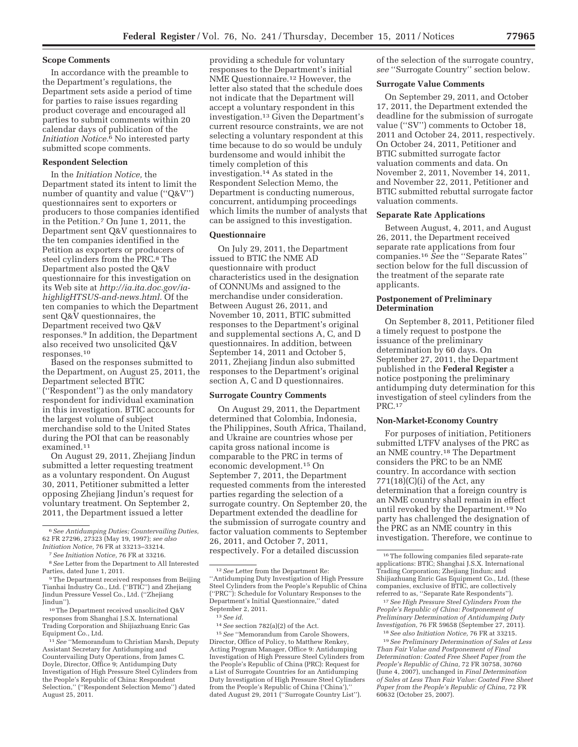### **Scope Comments**

In accordance with the preamble to the Department's regulations, the Department sets aside a period of time for parties to raise issues regarding product coverage and encouraged all parties to submit comments within 20 calendar days of publication of the *Initiation Notice.*6 No interested party submitted scope comments.

## **Respondent Selection**

In the *Initiation Notice,* the Department stated its intent to limit the number of quantity and value ("Q&V") questionnaires sent to exporters or producers to those companies identified in the Petition.7 On June 1, 2011, the Department sent Q&V questionnaires to the ten companies identified in the Petition as exporters or producers of steel cylinders from the PRC.<sup>8</sup> The Department also posted the Q&V questionnaire for this investigation on its Web site at *http://ia.ita.doc.gov/iahighligHTSUS-and-news.html.* Of the ten companies to which the Department sent Q&V questionnaires, the Department received two Q&V responses.9 In addition, the Department also received two unsolicited Q&V responses.10

Based on the responses submitted to the Department, on August 25, 2011, the Department selected BTIC (''Respondent'') as the only mandatory respondent for individual examination in this investigation. BTIC accounts for the largest volume of subject merchandise sold to the United States during the POI that can be reasonably examined.11

On August 29, 2011, Zhejiang Jindun submitted a letter requesting treatment as a voluntary respondent. On August 30, 2011, Petitioner submitted a letter opposing Zhejiang Jindun's request for voluntary treatment. On September 2, 2011, the Department issued a letter

8*See* Letter from the Department to All Interested Parties, dated June 1, 2011.

10The Department received unsolicited Q&V responses from Shanghai J.S.X. International Trading Corporation and Shijiazhuang Enric Gas Equipment Co., Ltd.

11*See* ''Memorandum to Christian Marsh, Deputy Assistant Secretary for Antidumping and Countervailing Duty Operations, from James C. Doyle, Director, Office 9; Antidumping Duty Investigation of High Pressure Steel Cylinders from the People's Republic of China: Respondent Selection,'' (''Respondent Selection Memo'') dated August 25, 2011.

#### **Questionnaire**

On July 29, 2011, the Department issued to BTIC the NME AD questionnaire with product characteristics used in the designation of CONNUMs and assigned to the merchandise under consideration. Between August 26, 2011, and November 10, 2011, BTIC submitted responses to the Department's original and supplemental sections A, C, and D questionnaires. In addition, between September 14, 2011 and October 5, 2011, Zhejiang Jindun also submitted responses to the Department's original section A, C and D questionnaires.

## **Surrogate Country Comments**

On August 29, 2011, the Department determined that Colombia, Indonesia, the Philippines, South Africa, Thailand, and Ukraine are countries whose per capita gross national income is comparable to the PRC in terms of economic development.15 On September 7, 2011, the Department requested comments from the interested parties regarding the selection of a surrogate country. On September 20, the Department extended the deadline for the submission of surrogate country and factor valuation comments to September 26, 2011, and October 7, 2011, respectively. For a detailed discussion

15*See* ''Memorandum from Carole Showers, Director, Office of Policy, to Matthew Renkey, Acting Program Manager, Office 9: Antidumping Investigation of High Pressure Steel Cylinders from the People's Republic of China (PRC): Request for a List of Surrogate Countries for an Antidumping Duty Investigation of High Pressure Steel Cylinders from the People's Republic of China ('China'),'' dated August 29, 2011 (''Surrogate Country List'').

of the selection of the surrogate country, *see* ''Surrogate Country'' section below.

#### **Surrogate Value Comments**

On September 29, 2011, and October 17, 2011, the Department extended the deadline for the submission of surrogate value (''SV'') comments to October 18, 2011 and October 24, 2011, respectively. On October 24, 2011, Petitioner and BTIC submitted surrogate factor valuation comments and data. On November 2, 2011, November 14, 2011, and November 22, 2011, Petitioner and BTIC submitted rebuttal surrogate factor valuation comments.

#### **Separate Rate Applications**

Between August, 4, 2011, and August 26, 2011, the Department received separate rate applications from four companies.16 *See* the ''Separate Rates'' section below for the full discussion of the treatment of the separate rate applicants.

### **Postponement of Preliminary Determination**

On September 8, 2011, Petitioner filed a timely request to postpone the issuance of the preliminary determination by 60 days. On September 27, 2011, the Department published in the **Federal Register** a notice postponing the preliminary antidumping duty determination for this investigation of steel cylinders from the PRC.17

#### **Non-Market-Economy Country**

For purposes of initiation, Petitioners submitted LTFV analyses of the PRC as an NME country.18 The Department considers the PRC to be an NME country. In accordance with section  $771(18)(C)(i)$  of the Act, any determination that a foreign country is an NME country shall remain in effect until revoked by the Department.19 No party has challenged the designation of the PRC as an NME country in this investigation. Therefore, we continue to

17*See High Pressure Steel Cylinders From the People's Republic of China: Postponement of Preliminary Determination of Antidumping Duty Investigation,* 76 FR 59658 (September 27, 2011).

18*See also Initiation Notice,* 76 FR at 33215. 19*See Preliminary Determination of Sales at Less Than Fair Value and Postponement of Final Determination: Coated Free Sheet Paper from the People's Republic of China,* 72 FR 30758, 30760 (June 4, 2007), unchanged in *Final Determination of Sales at Less Than Fair Value: Coated Free Sheet Paper from the People's Republic of China,* 72 FR 60632 (October 25, 2007).

<sup>6</sup>*See Antidumping Duties; Countervailing Duties,*  62 FR 27296, 27323 (May 19, 1997); *see also Initiation Notice,* 76 FR at 33213–33214.

<sup>7</sup>*See Initiation Notice,* 76 FR at 33216.

<sup>9</sup>The Department received responses from Beijing Tianhai Industry Co., Ltd. (''BTIC'') and Zhejiang Jindun Pressure Vessel Co., Ltd. (''Zhejiang Jindun'').

providing a schedule for voluntary responses to the Department's initial NME Questionnaire.12 However, the letter also stated that the schedule does not indicate that the Department will accept a voluntary respondent in this investigation.13 Given the Department's current resource constraints, we are not selecting a voluntary respondent at this time because to do so would be unduly burdensome and would inhibit the timely completion of this investigation.14 As stated in the Respondent Selection Memo, the Department is conducting numerous, concurrent, antidumping proceedings which limits the number of analysts that can be assigned to this investigation.

<sup>12</sup>*See* Letter from the Department Re: ''Antidumping Duty Investigation of High Pressure Steel Cylinders from the People's Republic of China (''PRC''): Schedule for Voluntary Responses to the Department's Initial Questionnaire,'' dated September 2, 2011.

<sup>13</sup>*See id.* 

<sup>14</sup>*See* section 782(a)(2) of the Act.

<sup>16</sup>The following companies filed separate-rate applications: BTIC; Shanghai J.S.X. International Trading Corporation; Zhejiang Jindun; and Shijiazhuang Enric Gas Equipment Co., Ltd. (these companies, exclusive of BTIC, are collectively referred to as, ''Separate Rate Respondents'').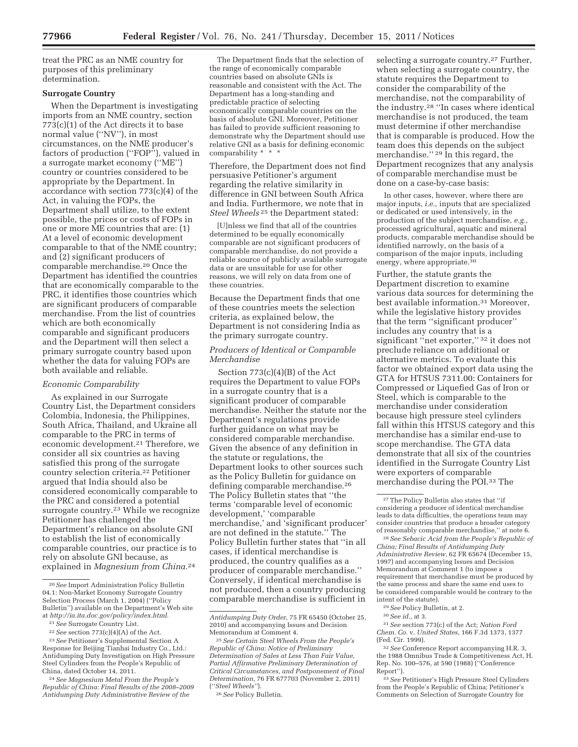treat the PRC as an NME country for purposes of this preliminary determination.

### **Surrogate Country**

When the Department is investigating imports from an NME country, section  $773(c)(1)$  of the Act directs it to base normal value (''NV''), in most circumstances, on the NME producer's factors of production ("FOP"), valued in a surrogate market economy (''ME'') country or countries considered to be appropriate by the Department. In accordance with section 773(c)(4) of the Act, in valuing the FOPs, the Department shall utilize, to the extent possible, the prices or costs of FOPs in one or more ME countries that are: (1) At a level of economic development comparable to that of the NME country; and (2) significant producers of comparable merchandise.20 Once the Department has identified the countries that are economically comparable to the PRC, it identifies those countries which are significant producers of comparable merchandise. From the list of countries which are both economically comparable and significant producers and the Department will then select a primary surrogate country based upon whether the data for valuing FOPs are both available and reliable.

### *Economic Comparability*

As explained in our Surrogate Country List, the Department considers Colombia, Indonesia, the Philippines, South Africa, Thailand, and Ukraine all comparable to the PRC in terms of economic development.<sup>21</sup> Therefore, we consider all six countries as having satisfied this prong of the surrogate country selection criteria.22 Petitioner argued that India should also be considered economically comparable to the PRC and considered a potential surrogate country.23 While we recognize Petitioner has challenged the Department's reliance on absolute GNI to establish the list of economically comparable countries, our practice is to rely on absolute GNI because, as explained in *Magnesium from China.*24

The Department finds that the selection of the range of economically comparable countries based on absolute GNIs is reasonable and consistent with the Act. The Department has a long-standing and predictable practice of selecting economically comparable countries on the basis of absolute GNI. Moreover, Petitioner has failed to provide sufficient reasoning to demonstrate why the Department should use relative GNI as a basis for defining economic comparability \* \* \*

Therefore, the Department does not find persuasive Petitioner's argument regarding the relative similarity in difference in GNI between South Africa and India. Furthermore, we note that in *Steel Wheels* 25 the Department stated:

[U]nless we find that all of the countries determined to be equally economically comparable are not significant producers of comparable merchandise, do not provide a reliable source of publicly available surrogate data or are unsuitable for use for other reasons, we will rely on data from one of these countries.

Because the Department finds that one of these countries meets the selection criteria, as explained below, the Department is not considering India as the primary surrogate country.

## *Producers of Identical or Comparable Merchandise*

Section 773(c)(4)(B) of the Act requires the Department to value FOPs in a surrogate country that is a significant producer of comparable merchandise. Neither the statute nor the Department's regulations provide further guidance on what may be considered comparable merchandise. Given the absence of any definition in the statute or regulations, the Department looks to other sources such as the Policy Bulletin for guidance on defining comparable merchandise.26 The Policy Bulletin states that ''the terms 'comparable level of economic development,' 'comparable merchandise,' and 'significant producer' are not defined in the statute.'' The Policy Bulletin further states that ''in all cases, if identical merchandise is produced, the country qualifies as a producer of comparable merchandise.'' Conversely, if identical merchandise is not produced, then a country producing comparable merchandise is sufficient in

selecting a surrogate country.<sup>27</sup> Further, when selecting a surrogate country, the statute requires the Department to consider the comparability of the merchandise, not the comparability of the industry.28 ''In cases where identical merchandise is not produced, the team must determine if other merchandise that is comparable is produced. How the team does this depends on the subject merchandise."<sup>29</sup> In this regard, the Department recognizes that any analysis of comparable merchandise must be done on a case-by-case basis:

In other cases, however, where there are major inputs, *i.e.,* inputs that are specialized or dedicated or used intensively, in the production of the subject merchandise, *e.g.,*  processed agricultural, aquatic and mineral products, comparable merchandise should be identified narrowly, on the basis of a comparison of the major inputs, including energy, where appropriate.<sup>30</sup>

Further, the statute grants the Department discretion to examine various data sources for determining the best available information.31 Moreover, while the legislative history provides that the term ''significant producer'' includes any country that is a significant ''net exporter,'' 32 it does not preclude reliance on additional or alternative metrics. To evaluate this factor we obtained export data using the GTA for HTSUS 7311.00: Containers for Compressed or Liquefied Gas of Iron or Steel, which is comparable to the merchandise under consideration because high pressure steel cylinders fall within this HTSUS category and this merchandise has a similar end-use to scope merchandise. The GTA data demonstrate that all six of the countries identified in the Surrogate Country List were exporters of comparable merchandise during the POI.33 The

28*See Sebacic Acid from the People's Republic of China; Final Results of Antidumping Duty Administrative Review,* 62 FR 65674 (December 15, 1997) and accompanying Issues and Decision Memorandum at Comment 1 (to impose a requirement that merchandise must be produced by the same process and share the same end uses to be considered comparable would be contrary to the intent of the statute).

31*See* section 773(c) of the Act; *Nation Ford Chem. Co.* v. *United States,* 166 F.3d 1373, 1377 (Fed. Cir. 1999).

32*See* Conference Report accompanying H.R. 3, the 1988 Omnibus Trade & Competitiveness Act, H. Rep. No. 100–576, at 590 (1988) (''Conference Report'').

33*See* Petitioner's High Pressure Steel Cylinders from the People's Republic of China; Petitioner's Comments on Selection of Surrogate Country for

<sup>20</sup>*See* Import Administration Policy Bulletin 04.1: Non-Market Economy Surrogate Country Selection Process (March 1, 2004) ("Policy Bulletin'') available on the Department's Web site at *http://ia.ita.doc.gov/policy/index.html.* 

<sup>21</sup>*See* Surrogate Country List.

<sup>22</sup>*See* section 773(c)(4)(A) of the Act.

<sup>23</sup>*See* Petitioner's Supplemental Section A Response for Beijing Tianhai Industry Co., Ltd.: Antidumping Duty Investigation on High Pressure Steel Cylinders from the People's Republic of China, dated October 14, 2011.

<sup>24</sup>*See Magnesium Metal From the People's Republic of China: Final Results of the 2008–2009 Antidumping Duty Administrative Review of the* 

*Antidumping Duty Order,* 75 FR 65450 (October 25, 2010) and accompanying Issues and Decision Memorandum at Comment 4.

<sup>25</sup>*See Certain Steel Wheels From the People's Republic of China: Notice of Preliminary Determination of Sales at Less Than Fair Value, Partial Affirmative Preliminary Determination of Critical Circumstances, and Postponement of Final Determination,* 76 FR 677703 (November 2, 2011) (''*Steel Wheels''*).

<sup>26</sup>*See* Policy Bulletin.

<sup>27</sup>The Policy Bulletin also states that ''if considering a producer of identical merchandise leads to data difficulties, the operations team may consider countries that produce a broader category of reasonably comparable merchandise,'' at note 6.

<sup>29</sup>*See* Policy Bulletin, at 2.

<sup>30</sup>*See id.,* at 3.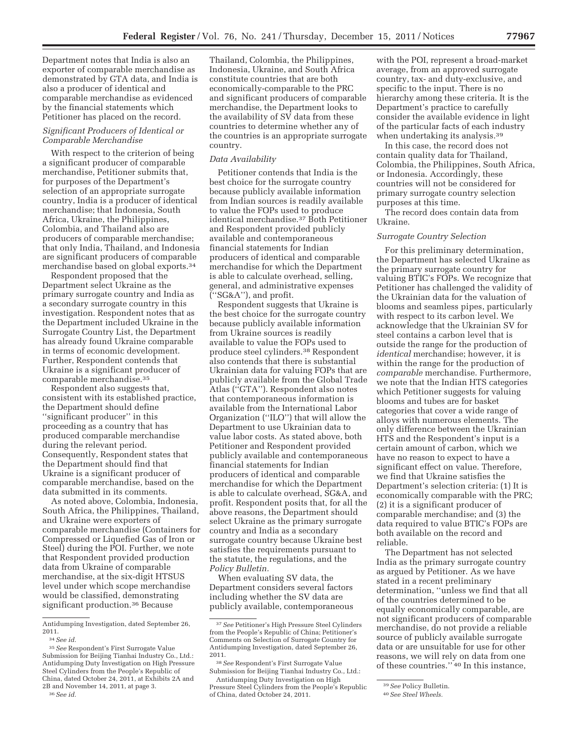Department notes that India is also an exporter of comparable merchandise as demonstrated by GTA data, and India is also a producer of identical and comparable merchandise as evidenced by the financial statements which Petitioner has placed on the record.

## *Significant Producers of Identical or Comparable Merchandise*

With respect to the criterion of being a significant producer of comparable merchandise, Petitioner submits that, for purposes of the Department's selection of an appropriate surrogate country, India is a producer of identical merchandise; that Indonesia, South Africa, Ukraine, the Philippines, Colombia, and Thailand also are producers of comparable merchandise; that only India, Thailand, and Indonesia are significant producers of comparable merchandise based on global exports.34

Respondent proposed that the Department select Ukraine as the primary surrogate country and India as a secondary surrogate country in this investigation. Respondent notes that as the Department included Ukraine in the Surrogate Country List, the Department has already found Ukraine comparable in terms of economic development. Further, Respondent contends that Ukraine is a significant producer of comparable merchandise.35

Respondent also suggests that, consistent with its established practice, the Department should define ''significant producer'' in this proceeding as a country that has produced comparable merchandise during the relevant period. Consequently, Respondent states that the Department should find that Ukraine is a significant producer of comparable merchandise, based on the data submitted in its comments.

As noted above, Colombia, Indonesia, South Africa, the Philippines, Thailand, and Ukraine were exporters of comparable merchandise (Containers for Compressed or Liquefied Gas of Iron or Steel) during the POI. Further, we note that Respondent provided production data from Ukraine of comparable merchandise, at the six-digit HTSUS level under which scope merchandise would be classified, demonstrating significant production.36 Because

Thailand, Colombia, the Philippines, Indonesia, Ukraine, and South Africa constitute countries that are both economically-comparable to the PRC and significant producers of comparable merchandise, the Department looks to the availability of SV data from these countries to determine whether any of the countries is an appropriate surrogate country.

## *Data Availability*

Petitioner contends that India is the best choice for the surrogate country because publicly available information from Indian sources is readily available to value the FOPs used to produce identical merchandise.37 Both Petitioner and Respondent provided publicly available and contemporaneous financial statements for Indian producers of identical and comparable merchandise for which the Department is able to calculate overhead, selling, general, and administrative expenses (''SG&A''), and profit.

Respondent suggests that Ukraine is the best choice for the surrogate country because publicly available information from Ukraine sources is readily available to value the FOPs used to produce steel cylinders.38 Respondent also contends that there is substantial Ukrainian data for valuing FOPs that are publicly available from the Global Trade Atlas (''GTA''). Respondent also notes that contemporaneous information is available from the International Labor Organization (''ILO'') that will allow the Department to use Ukrainian data to value labor costs. As stated above, both Petitioner and Respondent provided publicly available and contemporaneous financial statements for Indian producers of identical and comparable merchandise for which the Department is able to calculate overhead, SG&A, and profit. Respondent posits that, for all the above reasons, the Department should select Ukraine as the primary surrogate country and India as a secondary surrogate country because Ukraine best satisfies the requirements pursuant to the statute, the regulations, and the *Policy Bulletin.* 

When evaluating SV data, the Department considers several factors including whether the SV data are publicly available, contemporaneous

with the POI, represent a broad-market average, from an approved surrogate country, tax- and duty-exclusive, and specific to the input. There is no hierarchy among these criteria. It is the Department's practice to carefully consider the available evidence in light of the particular facts of each industry when undertaking its analysis.<sup>39</sup>

In this case, the record does not contain quality data for Thailand, Colombia, the Philippines, South Africa, or Indonesia. Accordingly, these countries will not be considered for primary surrogate country selection purposes at this time.

The record does contain data from Ukraine.

## *Surrogate Country Selection*

For this preliminary determination, the Department has selected Ukraine as the primary surrogate country for valuing BTIC's FOPs. We recognize that Petitioner has challenged the validity of the Ukrainian data for the valuation of blooms and seamless pipes, particularly with respect to its carbon level. We acknowledge that the Ukrainian SV for steel contains a carbon level that is outside the range for the production of *identical* merchandise; however, it is within the range for the production of *comparable* merchandise. Furthermore, we note that the Indian HTS categories which Petitioner suggests for valuing blooms and tubes are for basket categories that cover a wide range of alloys with numerous elements. The only difference between the Ukrainian HTS and the Respondent's input is a certain amount of carbon, which we have no reason to expect to have a significant effect on value. Therefore, we find that Ukraine satisfies the Department's selection criteria: (1) It is economically comparable with the PRC; (2) it is a significant producer of comparable merchandise; and (3) the data required to value BTIC's FOPs are both available on the record and reliable.

The Department has not selected India as the primary surrogate country as argued by Petitioner. As we have stated in a recent preliminary determination, ''unless we find that all of the countries determined to be equally economically comparable, are not significant producers of comparable merchandise, do not provide a reliable source of publicly available surrogate data or are unsuitable for use for other reasons, we will rely on data from one of these countries.'' 40 In this instance,

Antidumping Investigation, dated September 26, 2011.

<sup>34</sup>*See id.* 

<sup>35</sup>*See* Respondent's First Surrogate Value Submission for Beijing Tianhai Industry Co., Ltd.: Antidumping Duty Investigation on High Pressure Steel Cylinders from the People's Republic of China, dated October 24, 2011, at Exhibits 2A and 2B and November 14, 2011, at page 3.

<sup>36</sup>*See id.* 

<sup>37</sup>*See* Petitioner's High Pressure Steel Cylinders from the People's Republic of China; Petitioner's Comments on Selection of Surrogate Country for Antidumping Investigation, dated September 26, 2011.

<sup>38</sup>*See* Respondent's First Surrogate Value Submission for Beijing Tianhai Industry Co., Ltd.:

Antidumping Duty Investigation on High Pressure Steel Cylinders from the People's Republic of China, dated October 24, 2011.

<sup>39</sup>*See* Policy Bulletin.

<sup>40</sup>*See Steel Wheels.*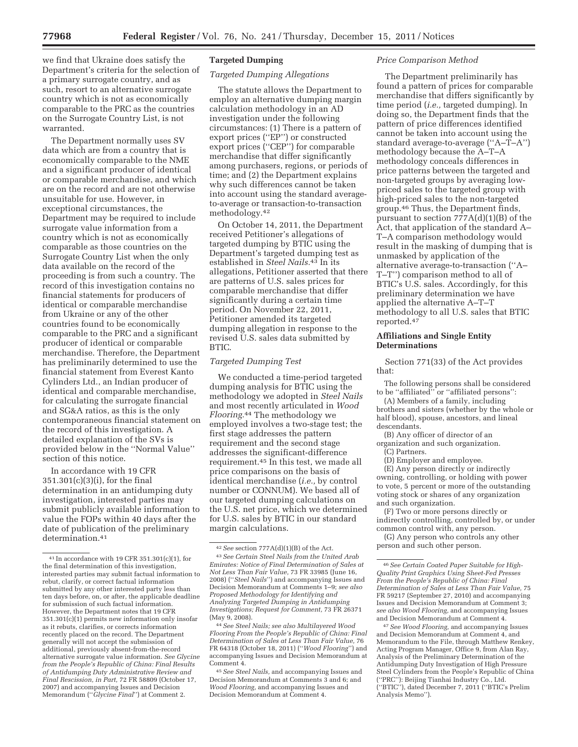we find that Ukraine does satisfy the Department's criteria for the selection of a primary surrogate country, and as such, resort to an alternative surrogate country which is not as economically comparable to the PRC as the countries on the Surrogate Country List, is not warranted.

The Department normally uses SV data which are from a country that is economically comparable to the NME and a significant producer of identical or comparable merchandise, and which are on the record and are not otherwise unsuitable for use. However, in exceptional circumstances, the Department may be required to include surrogate value information from a country which is not as economically comparable as those countries on the Surrogate Country List when the only data available on the record of the proceeding is from such a country. The record of this investigation contains no financial statements for producers of identical or comparable merchandise from Ukraine or any of the other countries found to be economically comparable to the PRC and a significant producer of identical or comparable merchandise. Therefore, the Department has preliminarily determined to use the financial statement from Everest Kanto Cylinders Ltd., an Indian producer of identical and comparable merchandise, for calculating the surrogate financial and SG&A ratios, as this is the only contemporaneous financial statement on the record of this investigation. A detailed explanation of the SVs is provided below in the ''Normal Value'' section of this notice.

In accordance with 19 CFR 351.301(c)(3)(i), for the final determination in an antidumping duty investigation, interested parties may submit publicly available information to value the FOPs within 40 days after the date of publication of the preliminary determination.41

## **Targeted Dumping**

## *Targeted Dumping Allegations*

The statute allows the Department to employ an alternative dumping margin calculation methodology in an AD investigation under the following circumstances: (1) There is a pattern of export prices (''EP'') or constructed export prices (''CEP'') for comparable merchandise that differ significantly among purchasers, regions, or periods of time; and (2) the Department explains why such differences cannot be taken into account using the standard averageto-average or transaction-to-transaction methodology.42

On October 14, 2011, the Department received Petitioner's allegations of targeted dumping by BTIC using the Department's targeted dumping test as established in *Steel Nails.*43 In its allegations, Petitioner asserted that there are patterns of U.S. sales prices for comparable merchandise that differ significantly during a certain time period. On November 22, 2011, Petitioner amended its targeted dumping allegation in response to the revised U.S. sales data submitted by BTIC.

### *Targeted Dumping Test*

We conducted a time-period targeted dumping analysis for BTIC using the methodology we adopted in *Steel Nails*  and most recently articulated in *Wood Flooring.*44 The methodology we employed involves a two-stage test; the first stage addresses the pattern requirement and the second stage addresses the significant-difference requirement.45 In this test, we made all price comparisons on the basis of identical merchandise (*i.e.,* by control number or CONNUM). We based all of our targeted dumping calculations on the U.S. net price, which we determined for U.S. sales by BTIC in our standard margin calculations.

### *Price Comparison Method*

The Department preliminarily has found a pattern of prices for comparable merchandise that differs significantly by time period (*i.e.,* targeted dumping). In doing so, the Department finds that the pattern of price differences identified cannot be taken into account using the standard average-to-average (''A–T–A'') methodology because the A–T–A methodology conceals differences in price patterns between the targeted and non-targeted groups by averaging lowpriced sales to the targeted group with high-priced sales to the non-targeted group.46 Thus, the Department finds, pursuant to section  $777A(d)(1)(B)$  of the Act, that application of the standard A– T–A comparison methodology would result in the masking of dumping that is unmasked by application of the alternative average-to-transaction (''A– T–T'') comparison method to all of BTIC's U.S. sales. Accordingly, for this preliminary determination we have applied the alternative A–T–T methodology to all U.S. sales that BTIC reported.47

## **Affiliations and Single Entity Determinations**

Section 771(33) of the Act provides that:

The following persons shall be considered to be ''affiliated'' or ''affiliated persons'':

(A) Members of a family, including brothers and sisters (whether by the whole or half blood), spouse, ancestors, and lineal descendants.

(B) Any officer of director of an

organization and such organization. (C) Partners.

(D) Employer and employee.

(E) Any person directly or indirectly owning, controlling, or holding with power to vote, 5 percent or more of the outstanding voting stock or shares of any organization and such organization.

(F) Two or more persons directly or indirectly controlling, controlled by, or under common control with, any person.

(G) Any person who controls any other person and such other person.

47*See Wood Flooring,* and accompanying Issues and Decision Memorandum at Comment 4, and Memorandum to the File, through Matthew Renkey, Acting Program Manager, Office 9, from Alan Ray, Analysis of the Preliminary Determination of the Antidumping Duty Investigation of High Pressure Steel Cylinders from the People's Republic of China (''PRC''): Beijing Tianhai Industry Co., Ltd. (''BTIC''), dated December 7, 2011 (''BTIC's Prelim Analysis Memo'').

<sup>41</sup> In accordance with 19 CFR 351.301(c)(1), for the final determination of this investigation, interested parties may submit factual information to rebut, clarify, or correct factual information submitted by any other interested party less than ten days before, on, or after, the applicable deadline for submission of such factual information. However, the Department notes that 19 CFR 351.301(c)(1) permits new information only insofar as it rebuts, clarifies, or corrects information recently placed on the record. The Department generally will not accept the submission of additional, previously absent-from-the-record alternative surrogate value information. *See Glycine from the People's Republic of China: Final Results of Antidumping Duty Administrative Review and Final Rescission, in Part,* 72 FR 58809 (October 17, 2007) and accompanying Issues and Decision Memorandum (''*Glycine Final*'') at Comment 2.

<sup>42</sup>*See* section 777A(d)(1)(B) of the Act. 43*See Certain Steel Nails from the United Arab Emirates: Notice of Final Determination of Sales at Not Less Than Fair Value,* 73 FR 33985 (June 16, 2008) (''*Steel Nails*'') and accompanying Issues and Decision Memorandum at Comments 1–9; *see also Proposed Methodology for Identifying and Analyzing Targeted Dumping in Antidumping Investigations; Request for Comment,* 73 FR 26371 (May 9, 2008).

<sup>44</sup>*See Steel Nails; see also Multilayered Wood Flooring From the People's Republic of China: Final Determination of Sales at Less Than Fair Value,* 76 FR 64318 (October 18, 2011) (''*Wood Flooring*'') and accompanying Issues and Decision Memorandum at Comment 4.

<sup>45</sup>*See Steel Nails,* and accompanying Issues and Decision Memorandum at Comments 3 and 6; and *Wood Flooring,* and accompanying Issues and Decision Memorandum at Comment 4.

<sup>46</sup>*See Certain Coated Paper Suitable for High-Quality Print Graphics Using Sheet-Fed Presses From the People's Republic of China: Final Determination of Sales at Less Than Fair Value,* 75 FR 59217 (September 27, 2010) and accompanying Issues and Decision Memorandum at Comment 3; *see also Wood Flooring,* and accompanying Issues and Decision Memorandum at Comment 4.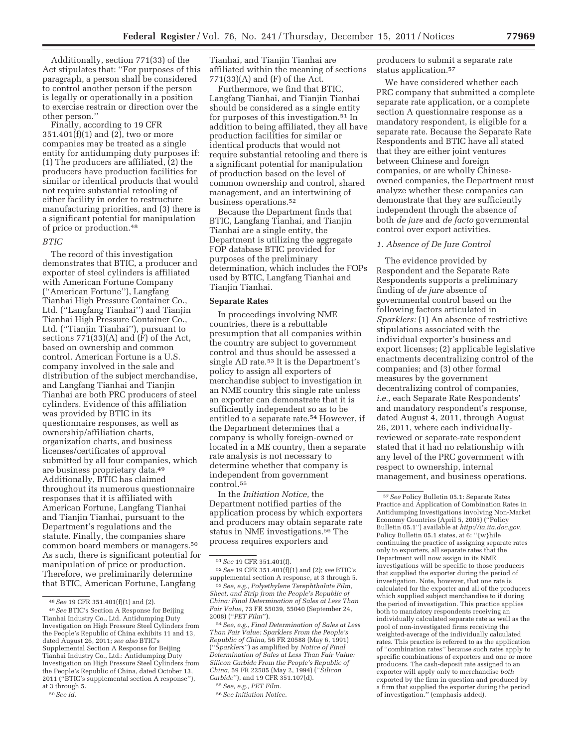Additionally, section 771(33) of the Act stipulates that: ''For purposes of this paragraph, a person shall be considered to control another person if the person is legally or operationally in a position to exercise restrain or direction over the other person.''

Finally, according to 19 CFR 351.401(f)(1) and (2), two or more companies may be treated as a single entity for antidumping duty purposes if: (1) The producers are affiliated, (2) the producers have production facilities for similar or identical products that would not require substantial retooling of either facility in order to restructure manufacturing priorities, and (3) there is a significant potential for manipulation of price or production.48

## *BTIC*

The record of this investigation demonstrates that BTIC, a producer and exporter of steel cylinders is affiliated with American Fortune Company (''American Fortune''), Langfang Tianhai High Pressure Container Co., Ltd. (''Langfang Tianhai'') and Tianjin Tianhai High Pressure Container Co., Ltd. (''Tianjin Tianhai''), pursuant to sections 771(33)(A) and (F) of the Act, based on ownership and common control. American Fortune is a U.S. company involved in the sale and distribution of the subject merchandise, and Langfang Tianhai and Tianjin Tianhai are both PRC producers of steel cylinders. Evidence of this affiliation was provided by BTIC in its questionnaire responses, as well as ownership/affiliation charts, organization charts, and business licenses/certificates of approval submitted by all four companies, which are business proprietary data.49 Additionally, BTIC has claimed throughout its numerous questionnaire responses that it is affiliated with American Fortune, Langfang Tianhai and Tianjin Tianhai, pursuant to the Department's regulations and the statute. Finally, the companies share common board members or managers.50 As such, there is significant potential for manipulation of price or production. Therefore, we preliminarily determine that BTIC, American Fortune, Langfang

Tianhai, and Tianjin Tianhai are affiliated within the meaning of sections  $771(33)(A)$  and  $(F)$  of the Act.

Furthermore, we find that BTIC, Langfang Tianhai, and Tianjin Tianhai should be considered as a single entity for purposes of this investigation.51 In addition to being affiliated, they all have production facilities for similar or identical products that would not require substantial retooling and there is a significant potential for manipulation of production based on the level of common ownership and control, shared management, and an intertwining of business operations.52

Because the Department finds that BTIC, Langfang Tianhai, and Tianjin Tianhai are a single entity, the Department is utilizing the aggregate FOP database BTIC provided for purposes of the preliminary determination, which includes the FOPs used by BTIC, Langfang Tianhai and Tianjin Tianhai.

## **Separate Rates**

In proceedings involving NME countries, there is a rebuttable presumption that all companies within the country are subject to government control and thus should be assessed a single AD rate.53 It is the Department's policy to assign all exporters of merchandise subject to investigation in an NME country this single rate unless an exporter can demonstrate that it is sufficiently independent so as to be entitled to a separate rate.<sup>54</sup> However, if the Department determines that a company is wholly foreign-owned or located in a ME country, then a separate rate analysis is not necessary to determine whether that company is independent from government control.55

In the *Initiation Notice,* the Department notified parties of the application process by which exporters and producers may obtain separate rate status in NME investigations.56 The process requires exporters and

54*See, e.g., Final Determination of Sales at Less Than Fair Value: Sparklers From the People's Republic of China,* 56 FR 20588 (May 6, 1991) (''*Sparklers*'') as amplified by *Notice of Final Determination of Sales at Less Than Fair Value: Silicon Carbide From the People's Republic of China,* 59 FR 22585 (May 2, 1994) (''*Silicon Carbide*''), and 19 CFR 351.107(d).

producers to submit a separate rate status application.57

We have considered whether each PRC company that submitted a complete separate rate application, or a complete section A questionnaire response as a mandatory respondent, is eligible for a separate rate. Because the Separate Rate Respondents and BTIC have all stated that they are either joint ventures between Chinese and foreign companies, or are wholly Chineseowned companies, the Department must analyze whether these companies can demonstrate that they are sufficiently independent through the absence of both *de jure* and *de facto* governmental control over export activities.

### *1. Absence of De Jure Control*

The evidence provided by Respondent and the Separate Rate Respondents supports a preliminary finding of *de jure* absence of governmental control based on the following factors articulated in *Sparklers:* (1) An absence of restrictive stipulations associated with the individual exporter's business and export licenses; (2) applicable legislative enactments decentralizing control of the companies; and (3) other formal measures by the government decentralizing control of companies, *i.e.,* each Separate Rate Respondents' and mandatory respondent's response, dated August 4, 2011, through August 26, 2011, where each individuallyreviewed or separate-rate respondent stated that it had no relationship with any level of the PRC government with respect to ownership, internal management, and business operations.

<sup>48</sup>*See* 19 CFR 351.401(f)(1) and (2).

<sup>49</sup>*See* BTIC's Section A Response for Beijing Tianhai Industry Co., Ltd. Antidumping Duty Investigation on High Pressure Steel Cylinders from the People's Republic of China exhibits 11 and 13, dated August 26, 2011; *see also* BTIC's Supplemental Section A Response for Beijing Tianhai Industry Co., Ltd.: Antidumping Duty Investigation on High Pressure Steel Cylinders from the People's Republic of China, dated October 13, 2011 (''BTIC's supplemental section A response''), at 3 through 5.

<sup>50</sup>*See id.* 

<sup>51</sup>*See* 19 CFR 351.401(f).

<sup>52</sup>*See* 19 CFR 351.401(f)(1) and (2); *see* BTIC's supplemental section A response, at 3 through 5.

<sup>53</sup>*See, e.g., Polyethylene Terephthalate Film, Sheet, and Strip from the People's Republic of China: Final Determination of Sales at Less Than Fair Value,* 73 FR 55039, 55040 (September 24, 2008) (''*PET Film*'').

<sup>55</sup>*See, e.g., PET Film.* 

<sup>56</sup>*See Initiation Notice.* 

<sup>57</sup>*See* Policy Bulletin 05.1: Separate Rates Practice and Application of Combination Rates in Antidumping Investigations involving Non-Market Economy Countries (April 5, 2005) (''Policy Bulletin 05.1'') available at *http://ia.ita.doc.gov.*  Policy Bulletin 05.1 states, at 6: ''{w}hile continuing the practice of assigning separate rates only to exporters, all separate rates that the Department will now assign in its NME investigations will be specific to those producers that supplied the exporter during the period of investigation. Note, however, that one rate is calculated for the exporter and all of the producers which supplied subject merchandise to it during the period of investigation. This practice applies both to mandatory respondents receiving an individually calculated separate rate as well as the pool of non-investigated firms receiving the weighted-average of the individually calculated rates. This practice is referred to as the application of ''combination rates'' because such rates apply to specific combinations of exporters and one or more producers. The cash-deposit rate assigned to an exporter will apply only to merchandise *both*  exported by the firm in question and produced by a firm that supplied the exporter during the period of investigation.'' (emphasis added).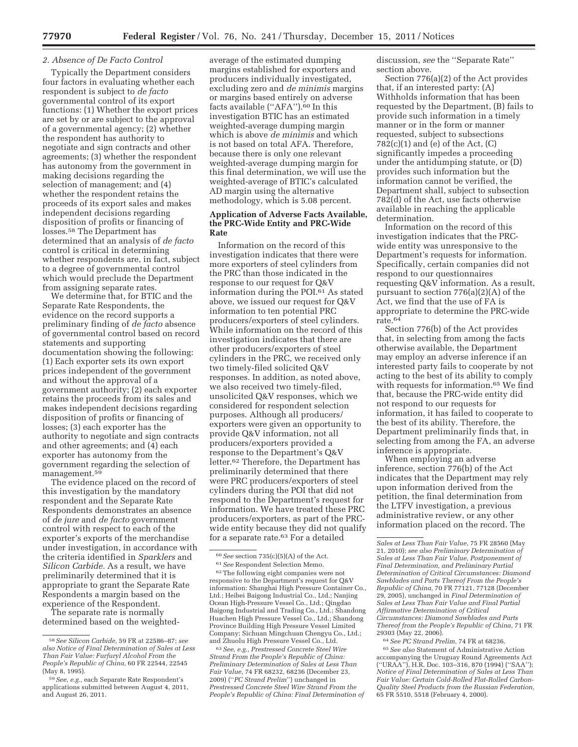## *2. Absence of De Facto Control*

Typically the Department considers four factors in evaluating whether each respondent is subject to *de facto*  governmental control of its export functions: (1) Whether the export prices are set by or are subject to the approval of a governmental agency; (2) whether the respondent has authority to negotiate and sign contracts and other agreements; (3) whether the respondent has autonomy from the government in making decisions regarding the selection of management; and (4) whether the respondent retains the proceeds of its export sales and makes independent decisions regarding disposition of profits or financing of losses.58 The Department has determined that an analysis of *de facto*  control is critical in determining whether respondents are, in fact, subject to a degree of governmental control which would preclude the Department from assigning separate rates.

We determine that, for BTIC and the Separate Rate Respondents, the evidence on the record supports a preliminary finding of *de facto* absence of governmental control based on record statements and supporting documentation showing the following: (1) Each exporter sets its own export prices independent of the government and without the approval of a government authority; (2) each exporter retains the proceeds from its sales and makes independent decisions regarding disposition of profits or financing of losses; (3) each exporter has the authority to negotiate and sign contracts and other agreements; and (4) each exporter has autonomy from the government regarding the selection of management.<sup>59</sup>

The evidence placed on the record of this investigation by the mandatory respondent and the Separate Rate Respondents demonstrates an absence of *de jure* and *de facto* government control with respect to each of the exporter's exports of the merchandise under investigation, in accordance with the criteria identified in *Sparklers* and *Silicon Carbide.* As a result, we have preliminarily determined that it is appropriate to grant the Separate Rate Respondents a margin based on the experience of the Respondent.

The separate rate is normally determined based on the weightedaverage of the estimated dumping margins established for exporters and producers individually investigated, excluding zero and *de minimis* margins or margins based entirely on adverse facts available (''AFA'').60 In this investigation BTIC has an estimated weighted-average dumping margin which is above *de minimis* and which is not based on total AFA. Therefore, because there is only one relevant weighted-average dumping margin for this final determination, we will use the weighted-average of BTIC's calculated AD margin using the alternative methodology, which is 5.08 percent.

## **Application of Adverse Facts Available, the PRC-Wide Entity and PRC-Wide Rate**

Information on the record of this investigation indicates that there were more exporters of steel cylinders from the PRC than those indicated in the response to our request for Q&V information during the POI.61 As stated above, we issued our request for Q&V information to ten potential PRC producers/exporters of steel cylinders. While information on the record of this investigation indicates that there are other producers/exporters of steel cylinders in the PRC, we received only two timely-filed solicited Q&V responses. In addition, as noted above, we also received two timely-filed, unsolicited Q&V responses, which we considered for respondent selection purposes. Although all producers/ exporters were given an opportunity to provide Q&V information, not all producers/exporters provided a response to the Department's Q&V letter.62 Therefore, the Department has preliminarily determined that there were PRC producers/exporters of steel cylinders during the POI that did not respond to the Department's request for information. We have treated these PRC producers/exporters, as part of the PRCwide entity because they did not qualify for a separate rate.<sup>63</sup> For a detailed

62The following eight companies were not responsive to the Department's request for Q&V information: Shanghai High Pressure Container Co., Ltd.; Heibei Baigong Industrial Co., Ltd.; Nanjing Ocean High-Pressure Vessel Co., Ltd.; Qingdao Baigong Industrial and Trading Co., Ltd.; Shandong Huachen High Pressure Vessel Co., Ltd.; Shandong Province Building High Pressure Vessel Limited Company; Sichuan Mingchuan Chengyu Co., Ltd.; and Zhuolu High Pressure Vessel Co., Ltd.

63*See, e.g., Prestressed Concrete Steel Wire Strand From the People's Republic of China: Preliminary Determination of Sales at Less Than Fair Value,* 74 FR 68232, 68236 (December 23, 2009) (''*PC Strand Prelim*'') unchanged in *Prestressed Concrete Steel Wire Strand From the People's Republic of China: Final Determination of* 

discussion, *see* the ''Separate Rate'' section above.

Section 776(a)(2) of the Act provides that, if an interested party: (A) Withholds information that has been requested by the Department, (B) fails to provide such information in a timely manner or in the form or manner requested, subject to subsections  $782(c)(1)$  and (e) of the Act, (C) significantly impedes a proceeding under the antidumping statute, or (D) provides such information but the information cannot be verified, the Department shall, subject to subsection 782(d) of the Act, use facts otherwise available in reaching the applicable determination.

Information on the record of this investigation indicates that the PRCwide entity was unresponsive to the Department's requests for information. Specifically, certain companies did not respond to our questionnaires requesting Q&V information. As a result, pursuant to section 776(a)(2)(A) of the Act, we find that the use of FA is appropriate to determine the PRC-wide rate.64

Section 776(b) of the Act provides that, in selecting from among the facts otherwise available, the Department may employ an adverse inference if an interested party fails to cooperate by not acting to the best of its ability to comply with requests for information.<sup>65</sup> We find that, because the PRC-wide entity did not respond to our requests for information, it has failed to cooperate to the best of its ability. Therefore, the Department preliminarily finds that, in selecting from among the FA, an adverse inference is appropriate.

When employing an adverse inference, section 776(b) of the Act indicates that the Department may rely upon information derived from the petition, the final determination from the LTFV investigation, a previous administrative review, or any other information placed on the record. The

64*See PC Strand Prelim,* 74 FR at 68236.

65*See also* Statement of Administrative Action accompanying the Uruguay Round Agreements Act (''URAA''), H.R. Doc. 103–316, 870 (1994) (''SAA''); *Notice of Final Determination of Sales at Less Than Fair Value: Certain Cold-Rolled Flat-Rolled Carbon-Quality Steel Products from the Russian Federation,*  65 FR 5510, 5518 (February 4, 2000).

<sup>58</sup>*See Silicon Carbide,* 59 FR at 22586–87; *see also Notice of Final Determination of Sales at Less Than Fair Value: Furfuryl Alcohol From the People's Republic of China,* 60 FR 22544, 22545 (May 8, 1995).

<sup>59</sup>*See, e.g.,* each Separate Rate Respondent's applications submitted between August 4, 2011, and August 26, 2011.

<sup>60</sup>*See* section 735(c)(5)(A) of the Act.

<sup>61</sup>*See* Respondent Selection Memo.

*Sales at Less Than Fair Value,* 75 FR 28560 (May 21, 2010); *see also Preliminary Determination of Sales at Less Than Fair Value, Postponement of Final Determination, and Preliminary Partial Determination of Critical Circumstances: Diamond Sawblades and Parts Thereof From the People's Republic of China,* 70 FR 77121, 77128 (December 29, 2005), unchanged in *Final Determination of Sales at Less Than Fair Value and Final Partial Affirmative Determination of Critical Circumstances: Diamond Sawblades and Parts Thereof from the People's Republic of China,* 71 FR 29303 (May 22, 2006).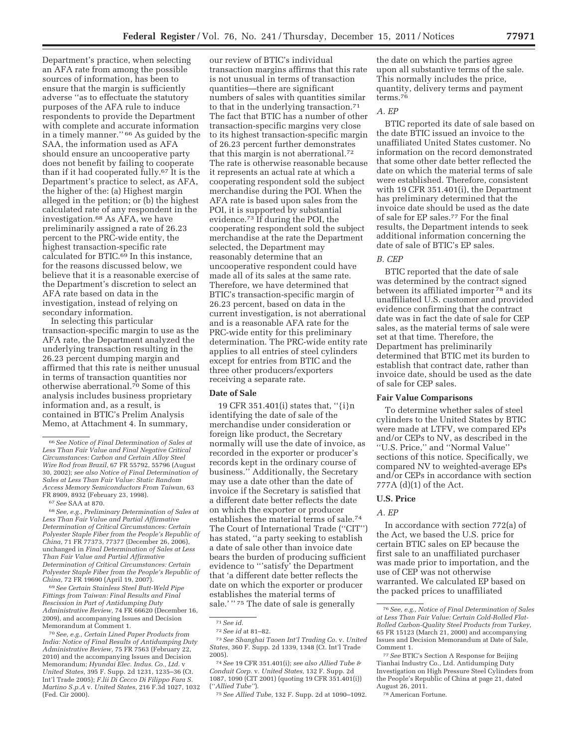Department's practice, when selecting an AFA rate from among the possible sources of information, has been to ensure that the margin is sufficiently adverse ''as to effectuate the statutory purposes of the AFA rule to induce respondents to provide the Department with complete and accurate information in a timely manner.'' 66 As guided by the SAA, the information used as AFA should ensure an uncooperative party does not benefit by failing to cooperate than if it had cooperated fully.67 It is the Department's practice to select, as AFA, the higher of the: (a) Highest margin alleged in the petition; or (b) the highest calculated rate of any respondent in the investigation.68 As AFA, we have preliminarily assigned a rate of 26.23 percent to the PRC-wide entity, the highest transaction-specific rate calculated for BTIC.69 In this instance, for the reasons discussed below, we believe that it is a reasonable exercise of the Department's discretion to select an AFA rate based on data in the investigation, instead of relying on secondary information.

In selecting this particular transaction-specific margin to use as the AFA rate, the Department analyzed the underlying transaction resulting in the 26.23 percent dumping margin and affirmed that this rate is neither unusual in terms of transaction quantities nor otherwise aberrational.70 Some of this analysis includes business proprietary information and, as a result, is contained in BTIC's Prelim Analysis Memo, at Attachment 4. In summary,

68*See, e.g., Preliminary Determination of Sales at Less Than Fair Value and Partial Affirmative Determination of Critical Circumstances: Certain Polyester Staple Fiber from the People's Republic of China,* 71 FR 77373, 77377 (December 26, 2006), unchanged in *Final Determination of Sales at Less Than Fair Value and Partial Affirmative Determination of Critical Circumstances: Certain Polyester Staple Fiber from the People's Republic of China,* 72 FR 19690 (April 19, 2007).

69*See Certain Stainless Steel Butt-Weld Pipe Fittings from Taiwan: Final Results and Final Rescission in Part of Antidumping Duty Administrative Review,* 74 FR 66620 (December 16, 2009), and accompanying Issues and Decision Memorandum at Comment 1.

70*See, e.g., Certain Lined Paper Products from India: Notice of Final Results of Antidumping Duty Administrative Review,* 75 FR 7563 (February 22, 2010) and the accompanying Issues and Decision Memorandum; *Hyundai Elec. Indus. Co., Ltd.* v *United States,* 395 F. Supp. 2d 1231, 1235–36 (Ct. Int'l Trade 2005); *F.lii Di Cecco Di Filippo Fara S. Martino S.p.A* v. *United States,* 216 F.3d 1027, 1032 (Fed. Cir 2000).

our review of BTIC's individual transaction margins affirms that this rate is not unusual in terms of transaction quantities—there are significant numbers of sales with quantities similar to that in the underlying transaction.71 The fact that BTIC has a number of other transaction-specific margins very close to its highest transaction-specific margin of 26.23 percent further demonstrates that this margin is not aberrational.72 The rate is otherwise reasonable because it represents an actual rate at which a cooperating respondent sold the subject merchandise during the POI. When the AFA rate is based upon sales from the POI, it is supported by substantial evidence.73 If during the POI, the cooperating respondent sold the subject merchandise at the rate the Department selected, the Department may reasonably determine that an uncooperative respondent could have made all of its sales at the same rate. Therefore, we have determined that BTIC's transaction-specific margin of 26.23 percent, based on data in the current investigation, is not aberrational and is a reasonable AFA rate for the PRC-wide entity for this preliminary determination. The PRC-wide entity rate applies to all entries of steel cylinders except for entries from BTIC and the three other producers/exporters receiving a separate rate.

#### **Date of Sale**

19 CFR 351.401(i) states that, ''{i}n identifying the date of sale of the merchandise under consideration or foreign like product, the Secretary normally will use the date of invoice, as recorded in the exporter or producer's records kept in the ordinary course of business.'' Additionally, the Secretary may use a date other than the date of invoice if the Secretary is satisfied that a different date better reflects the date on which the exporter or producer establishes the material terms of sale.74 The Court of International Trade (''CIT'') has stated, ''a party seeking to establish a date of sale other than invoice date bears the burden of producing sufficient evidence to '''satisfy' the Department that 'a different date better reflects the date on which the exporter or producer establishes the material terms of sale.' " 75 The date of sale is generally

74*See* 19 CFR 351.401(i); *see also Allied Tube & Conduit Corp.* v. *United States,* 132 F. Supp. 2d 1087, 1090 (CIT 2001) (quoting 19 CFR 351.401(i)) (''*Allied Tube''*).

75*See Allied Tube,* 132 F. Supp. 2d at 1090–1092.

the date on which the parties agree upon all substantive terms of the sale. This normally includes the price, quantity, delivery terms and payment terms.76

#### *A. EP*

BTIC reported its date of sale based on the date BTIC issued an invoice to the unaffiliated United States customer. No information on the record demonstrated that some other date better reflected the date on which the material terms of sale were established. Therefore, consistent with 19 CFR 351.401(i), the Department has preliminary determined that the invoice date should be used as the date of sale for EP sales.77 For the final results, the Department intends to seek additional information concerning the date of sale of BTIC's EP sales.

### *B. CEP*

BTIC reported that the date of sale was determined by the contract signed between its affiliated importer 78 and its unaffiliated U.S. customer and provided evidence confirming that the contract date was in fact the date of sale for CEP sales, as the material terms of sale were set at that time. Therefore, the Department has preliminarily determined that BTIC met its burden to establish that contract date, rather than invoice date, should be used as the date of sale for CEP sales.

#### **Fair Value Comparisons**

To determine whether sales of steel cylinders to the United States by BTIC were made at LTFV, we compared EPs and/or CEPs to NV, as described in the ''U.S. Price,'' and ''Normal Value'' sections of this notice. Specifically, we compared NV to weighted-average EPs and/or CEPs in accordance with section 777A (d)(1) of the Act.

## **U.S. Price**

# *A. EP*

In accordance with section 772(a) of the Act, we based the U.S. price for certain BTIC sales on EP because the first sale to an unaffiliated purchaser was made prior to importation, and the use of CEP was not otherwise warranted. We calculated EP based on the packed prices to unaffiliated

77*See* BTIC's Section A Response for Beijing Tianhai Industry Co., Ltd. Antidumping Duty Investigation on High Pressure Steel Cylinders from the People's Republic of China at page 21, dated August 26, 2011.

78American Fortune.

<sup>66</sup>*See Notice of Final Determination of Sales at Less Than Fair Value and Final Negative Critical Circumstances: Carbon and Certain Alloy Steel Wire Rod from Brazil,* 67 FR 55792, 55796 (August 30, 2002); *see also Notice of Final Determination of Sales at Less Than Fair Value: Static Random Access Memory Semiconductors From Taiwan,* 63 FR 8909, 8932 (February 23, 1998).

<sup>67</sup>*See* SAA at 870.

<sup>71</sup>*See id.* 

<sup>72</sup>*See id* at 81–82.

<sup>73</sup>*See Shanghai Taoen Int'l Trading Co.* v. *United States,* 360 F. Supp. 2d 1339, 1348 (Ct. Int'l Trade 2005).

<sup>76</sup>*See, e.g., Notice of Final Determination of Sales at Less Than Fair Value: Certain Cold-Rolled Flat-Rolled Carbon-Quality Steel Products from Turkey,*  65 FR 15123 (March 21, 2000) and accompanying Issues and Decision Memorandum at Date of Sale, Comment 1.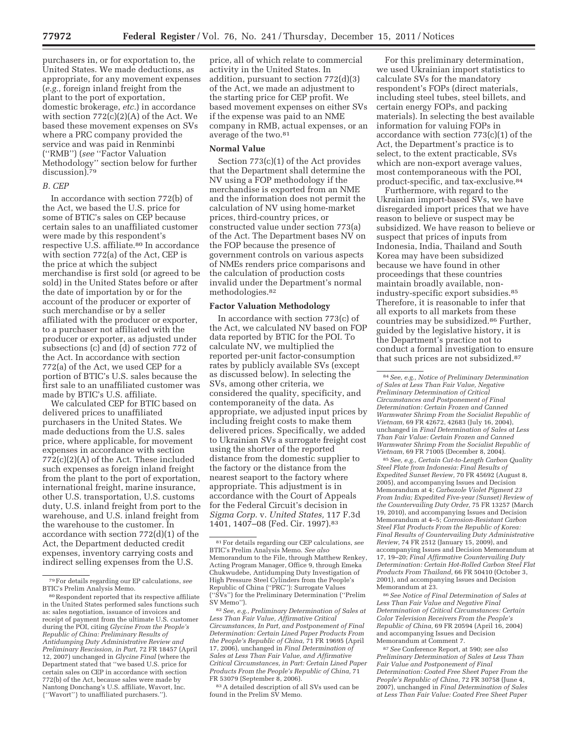purchasers in, or for exportation to, the United States. We made deductions, as appropriate, for any movement expenses (*e.g.,* foreign inland freight from the plant to the port of exportation, domestic brokerage, *etc.*) in accordance with section  $772(c)(2)(A)$  of the Act. We based these movement expenses on SVs where a PRC company provided the service and was paid in Renminbi (''RMB'') (*see* ''Factor Valuation Methodology'' section below for further discussion).<sup>79</sup>

## *B. CEP*

In accordance with section 772(b) of the Act, we based the U.S. price for some of BTIC's sales on CEP because certain sales to an unaffiliated customer were made by this respondent's respective U.S. affiliate.<sup>80</sup> In accordance with section 772(a) of the Act, CEP is the price at which the subject merchandise is first sold (or agreed to be sold) in the United States before or after the date of importation by or for the account of the producer or exporter of such merchandise or by a seller affiliated with the producer or exporter, to a purchaser not affiliated with the producer or exporter, as adjusted under subsections (c) and (d) of section 772 of the Act. In accordance with section 772(a) of the Act, we used CEP for a portion of BTIC's U.S. sales because the first sale to an unaffiliated customer was made by BTIC's U.S. affiliate.

We calculated CEP for BTIC based on delivered prices to unaffiliated purchasers in the United States. We made deductions from the U.S. sales price, where applicable, for movement expenses in accordance with section 772(c)(2)(A) of the Act. These included such expenses as foreign inland freight from the plant to the port of exportation, international freight, marine insurance, other U.S. transportation, U.S. customs duty, U.S. inland freight from port to the warehouse, and U.S. inland freight from the warehouse to the customer. In accordance with section 772(d)(1) of the Act, the Department deducted credit expenses, inventory carrying costs and indirect selling expenses from the U.S.

price, all of which relate to commercial activity in the United States. In addition, pursuant to section 772(d)(3) of the Act, we made an adjustment to the starting price for CEP profit. We based movement expenses on either SVs if the expense was paid to an NME company in RMB, actual expenses, or an average of the two.81

## **Normal Value**

Section 773(c)(1) of the Act provides that the Department shall determine the NV using a FOP methodology if the merchandise is exported from an NME and the information does not permit the calculation of NV using home-market prices, third-country prices, or constructed value under section 773(a) of the Act. The Department bases NV on the FOP because the presence of government controls on various aspects of NMEs renders price comparisons and the calculation of production costs invalid under the Department's normal methodologies.82

## **Factor Valuation Methodology**

In accordance with section 773(c) of the Act, we calculated NV based on FOP data reported by BTIC for the POI. To calculate NV, we multiplied the reported per-unit factor-consumption rates by publicly available SVs (except as discussed below). In selecting the SVs, among other criteria, we considered the quality, specificity, and contemporaneity of the data. As appropriate, we adjusted input prices by including freight costs to make them delivered prices. Specifically, we added to Ukrainian SVs a surrogate freight cost using the shorter of the reported distance from the domestic supplier to the factory or the distance from the nearest seaport to the factory where appropriate. This adjustment is in accordance with the Court of Appeals for the Federal Circuit's decision in *Sigma Corp.* v. *United States,* 117 F.3d 1401, 1407–08 (Fed. Cir. 1997).83

83A detailed description of all SVs used can be found in the Prelim SV Memo.

For this preliminary determination, we used Ukrainian import statistics to calculate SVs for the mandatory respondent's FOPs (direct materials, including steel tubes, steel billets, and certain energy FOPs, and packing materials). In selecting the best available information for valuing FOPs in accordance with section 773(c)(1) of the Act, the Department's practice is to select, to the extent practicable, SVs which are non-export average values, most contemporaneous with the POI, product-specific, and tax-exclusive.84

Furthermore, with regard to the Ukrainian import-based SVs, we have disregarded import prices that we have reason to believe or suspect may be subsidized. We have reason to believe or suspect that prices of inputs from Indonesia, India, Thailand and South Korea may have been subsidized because we have found in other proceedings that these countries maintain broadly available, nonindustry-specific export subsidies.85 Therefore, it is reasonable to infer that all exports to all markets from these countries may be subsidized.86 Further, guided by the legislative history, it is the Department's practice not to conduct a formal investigation to ensure that such prices are not subsidized.87

85*See, e.g., Certain Cut-to-Length Carbon Quality Steel Plate from Indonesia: Final Results of Expedited Sunset Review,* 70 FR 45692 (August 8, 2005), and accompanying Issues and Decision Memorandum at 4; *Carbazole Violet Pigment 23 From India; Expedited Five-year (Sunset) Review of the Countervailing Duty Order,* 75 FR 13257 (March 19, 2010), and accompanying Issues and Decision Memorandum at 4–5; *Corrosion-Resistant Carbon Steel Flat Products From the Republic of Korea: Final Results of Countervailing Duty Administrative Review,* 74 FR 2512 (January 15, 2009), and accompanying Issues and Decision Memorandum at 17, 19–20; *Final Affirmative Countervailing Duty Determination: Certain Hot-Rolled Carbon Steel Flat Products From Thailand,* 66 FR 50410 (October 3, 2001), and accompanying Issues and Decision Memorandum at 23.

86*See Notice of Final Determination of Sales at Less Than Fair Value and Negative Final Determination of Critical Circumstances: Certain Color Television Receivers From the People's Republic of China,* 69 FR 20594 (April 16, 2004) and accompanying Issues and Decision Memorandum at Comment 7.

87*See* Conference Report, at 590; *see also Preliminary Determination of Sales at Less Than Fair Value and Postponement of Final Determination: Coated Free Sheet Paper From the People's Republic of China,* 72 FR 30758 (June 4, 2007), unchanged in *Final Determination of Sales at Less Than Fair Value: Coated Free Sheet Paper* 

<sup>79</sup>For details regarding our EP calculations, *see*  BTIC's Prelim Analysis Memo.

<sup>80</sup>Respondent reported that its respective affiliate in the United States performed sales functions such as: sales negotiation, issuance of invoices and receipt of payment from the ultimate U.S. customer during the POI, citing *Glycine From the People's Republic of China: Preliminary Results of Antidumping Duty Administrative Review and Preliminary Rescission, in Part,* 72 FR 18457 (April 12, 2007) unchanged in *Glycine Final* (where the Department stated that ''we based U.S. price for certain sales on CEP in accordance with section 772(b) of the Act, because sales were made by Nantong Donchang's U.S. affiliate, Wavort, Inc. {''Wavort''} to unaffiliated purchasers.'').

<sup>81</sup>For details regarding our CEP calculations, *see*  BTIC's Prelim Analysis Memo. *See also*  Memorandum to the File, through Matthew Renkey, Acting Program Manager, Office 9, through Emeka Chukwudebe, Antidumping Duty Investigation of High Pressure Steel Cylinders from the People's Republic of China (''PRC''): Surrogate Values (''SVs'') for the Preliminary Determination (''Prelim SV Memo'').

<sup>82</sup>*See, e.g., Preliminary Determination of Sales at Less Than Fair Value, Affirmative Critical Circumstances, In Part, and Postponement of Final Determination: Certain Lined Paper Products From the People's Republic of China,* 71 FR 19695 (April 17, 2006), unchanged in *Final Determination of Sales at Less Than Fair Value, and Affirmative Critical Circumstances, in Part: Certain Lined Paper Products From the People's Republic of China,* 71 FR 53079 (September 8, 2006).

<sup>84</sup>*See, e.g., Notice of Preliminary Determination of Sales at Less Than Fair Value, Negative Preliminary Determination of Critical Circumstances and Postponement of Final Determination: Certain Frozen and Canned Warmwater Shrimp From the Socialist Republic of Vietnam,* 69 FR 42672, 42683 (July 16, 2004), unchanged in *Final Determination of Sales at Less Than Fair Value: Certain Frozen and Canned Warmwater Shrimp From the Socialist Republic of Vietnam,* 69 FR 71005 (December 8, 2004).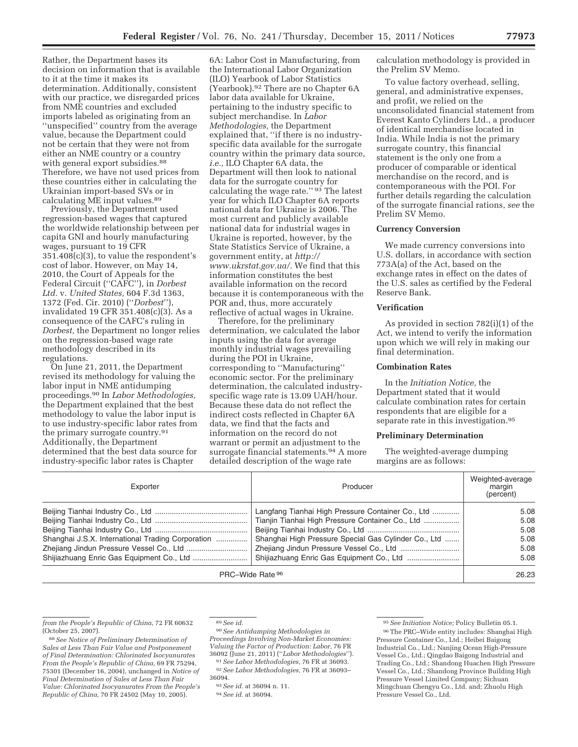Rather, the Department bases its decision on information that is available to it at the time it makes its determination. Additionally, consistent with our practice, we disregarded prices from NME countries and excluded imports labeled as originating from an ''unspecified'' country from the average value, because the Department could not be certain that they were not from either an NME country or a country with general export subsidies.<sup>88</sup> Therefore, we have not used prices from these countries either in calculating the Ukrainian import-based SVs or in calculating ME input values.<sup>89</sup>

Previously, the Department used regression-based wages that captured the worldwide relationship between per capita GNI and hourly manufacturing wages, pursuant to 19 CFR 351.408(c)(3), to value the respondent's cost of labor. However, on May 14, 2010, the Court of Appeals for the Federal Circuit (''CAFC''), in *Dorbest Ltd.* v. *United States,* 604 F.3d 1363, 1372 (Fed. Cir. 2010) (''*Dorbest*''), invalidated 19 CFR 351.408(c)(3). As a consequence of the CAFC's ruling in *Dorbest,* the Department no longer relies on the regression-based wage rate methodology described in its regulations.

On June 21, 2011, the Department revised its methodology for valuing the labor input in NME antidumping proceedings.90 In *Labor Methodologies,*  the Department explained that the best methodology to value the labor input is to use industry-specific labor rates from the primary surrogate country.91 Additionally, the Department determined that the best data source for industry-specific labor rates is Chapter

6A: Labor Cost in Manufacturing, from the International Labor Organization (ILO) Yearbook of Labor Statistics (Yearbook).92 There are no Chapter 6A labor data available for Ukraine, pertaining to the industry specific to subject merchandise. In *Labor Methodologies,* the Department explained that, ''if there is no industryspecific data available for the surrogate country within the primary data source, *i.e.,* ILO Chapter 6A data, the Department will then look to national data for the surrogate country for calculating the wage rate.'' 93 The latest year for which ILO Chapter 6A reports national data for Ukraine is 2006. The most current and publicly available national data for industrial wages in Ukraine is reported, however, by the State Statistics Service of Ukraine, a government entity, at *http:// www.ukrstat.gov.ua/.* We find that this information constitutes the best available information on the record because it is contemporaneous with the POR and, thus, more accurately reflective of actual wages in Ukraine.

Therefore, for the preliminary determination, we calculated the labor inputs using the data for average monthly industrial wages prevailing during the POI in Ukraine, corresponding to ''Manufacturing'' economic sector. For the preliminary determination, the calculated industryspecific wage rate is 13.09 UAH/hour. Because these data do not reflect the indirect costs reflected in Chapter 6A data, we find that the facts and information on the record do not warrant or permit an adjustment to the surrogate financial statements.<sup>94</sup> A more detailed description of the wage rate

calculation methodology is provided in the Prelim SV Memo.

To value factory overhead, selling, general, and administrative expenses, and profit, we relied on the unconsolidated financial statement from Everest Kanto Cylinders Ltd., a producer of identical merchandise located in India. While India is not the primary surrogate country, this financial statement is the only one from a producer of comparable or identical merchandise on the record, and is contemporaneous with the POI. For further details regarding the calculation of the surrogate financial rations, *see* the Prelim SV Memo.

## **Currency Conversion**

We made currency conversions into U.S. dollars, in accordance with section 773A(a) of the Act, based on the exchange rates in effect on the dates of the U.S. sales as certified by the Federal Reserve Bank.

### **Verification**

As provided in section 782(i)(1) of the Act, we intend to verify the information upon which we will rely in making our final determination.

## **Combination Rates**

In the *Initiation Notice,* the Department stated that it would calculate combination rates for certain respondents that are eligible for a separate rate in this investigation.<sup>95</sup>

### **Preliminary Determination**

The weighted-average dumping margins are as follows:

| Exporter                                          | Producer                                             | Weighted-average<br>margin<br>(percent) |
|---------------------------------------------------|------------------------------------------------------|-----------------------------------------|
|                                                   | Langfang Tianhai High Pressure Container Co., Ltd    | 5.08                                    |
|                                                   | Tianjin Tianhai High Pressure Container Co., Ltd     | 5.08                                    |
|                                                   |                                                      | 5.08                                    |
| Shanghai J.S.X. International Trading Corporation | Shanghai High Pressure Special Gas Cylinder Co., Ltd | 5.08                                    |
|                                                   |                                                      | 5.08                                    |
|                                                   | Shijiazhuang Enric Gas Equipment Co., Ltd            | 5.08                                    |
| PRC-Wide Rate 96                                  |                                                      | 26.23                                   |

*from the People's Republic of China,* 72 FR 60632 (October 25, 2007).

<sup>88</sup>*See Notice of Preliminary Determination of Sales at Less Than Fair Value and Postponement of Final Determination: Chlorinated Isocyanurates From the People's Republic of China,* 69 FR 75294, 75301 (December 16, 2004), unchanged in *Notice of Final Determination of Sales at Less Than Fair Value: Chlorinated Isocyanurates From the People's Republic of China,* 70 FR 24502 (May 10, 2005).

<sup>89</sup>*See id.* 

<sup>90</sup>*See Antidumping Methodologies in Proceedings Involving Non-Market Economies: Valuing the Factor of Production: Labor,* 76 FR 36092 (June 21, 2011) (''*Labor Methodologies*'').

<sup>91</sup>*See Labor Methodologies,* 76 FR at 36093. 92*See Labor Methodologies,* 76 FR at 36093–

<sup>36094.</sup> 

<sup>93</sup>*See id.* at 36094 n. 11. 94*See id.* at 36094.

<sup>95</sup>*See Initiation Notice;* Policy Bulletin 05.1.

<sup>96</sup>The PRC–Wide entity includes: Shanghai High Pressure Container Co., Ltd.; Heibei Baigong Industrial Co., Ltd.; Nanjing Ocean High-Pressure Vessel Co., Ltd.; Qingdao Baigong Industrial and Trading Co., Ltd.; Shandong Huachen High Pressure Vessel Co., Ltd.; Shandong Province Building High Pressure Vessel Limited Company; Sichuan Mingchuan Chengyu Co., Ltd. and; Zhuolu High Pressure Vessel Co., Ltd.